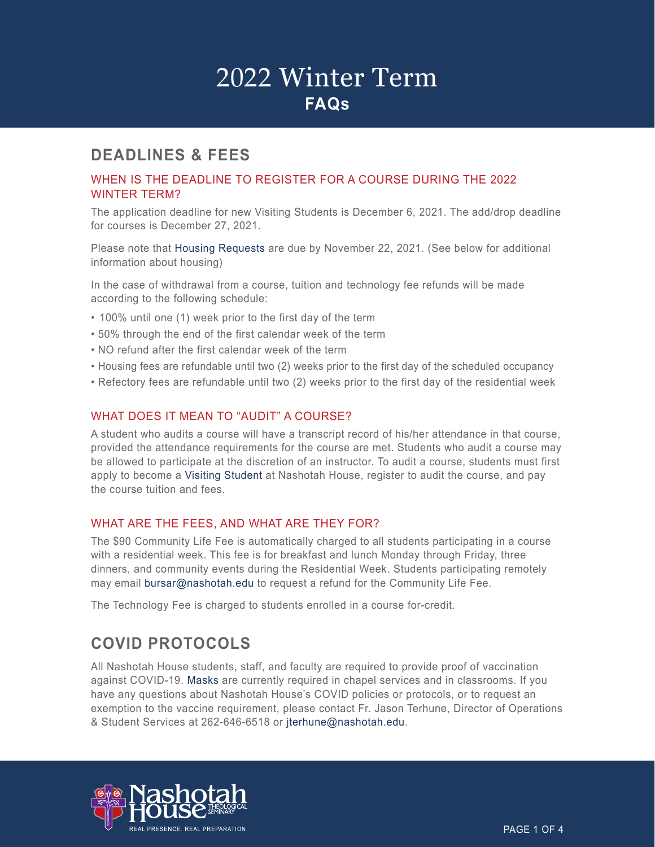### **DEADLINES & FEES**

#### WHEN IS THE DEADLINE TO REGISTER FOR A COURSE DURING THE 2022 WINTER TERM?

The application deadline for new Visiting Students is December 6, 2021. The add/drop deadline for courses is December 27, 2021.

Please note that [Housing Requests](https://nashotah.edu/academics/student-resources/request-housing/) are due by November 22, 2021. (See below for additional information about housing)

In the case of withdrawal from a course, tuition and technology fee refunds will be made according to the following schedule:

- 100% until one (1) week prior to the first day of the term
- 50% through the end of the first calendar week of the term
- NO refund after the first calendar week of the term
- Housing fees are refundable until two (2) weeks prior to the first day of the scheduled occupancy
- Refectory fees are refundable until two (2) weeks prior to the first day of the residential week

#### WHAT DOES IT MEAN TO "AUDIT" A COURSE?

A student who audits a course will have a transcript record of his/her attendance in that course, provided the attendance requirements for the course are met. Students who audit a course may be allowed to participate at the discretion of an instructor. To audit a course, students must first apply to become a [Visiting Student](https://nashotah.edu/visiting-student/) at Nashotah House, register to audit the course, and pay the course tuition and fees.

#### WHAT ARE THE FEES, AND WHAT ARE THEY FOR?

The \$90 Community Life Fee is automatically charged to all students participating in a course with a residential week. This fee is for breakfast and lunch Monday through Friday, three dinners, and community events during the Residential Week. Students participating remotely may email [bursar@nashotah.edu](mailto: bursar@nashotah.edu) to request a refund for the Community Life Fee.

The Technology Fee is charged to students enrolled in a course for-credit.

## **COVID PROTOCOLS**

All Nashotah House students, staff, and faculty are required to provide proof of vaccination against COVID-19. [Masks](https://www.cdc.gov/coronavirus/2019-ncov/prevent-getting-sick/types-of-masks.html) are currently required in chapel services and in classrooms. If you have any questions about Nashotah House's COVID policies or protocols, or to request an exemption to the vaccine requirement, please contact Fr. Jason Terhune, Director of Operations & Student Services at 262-646-6518 or [jterhune@nashotah.edu.](mailto: jterhune@nashotah.edu)

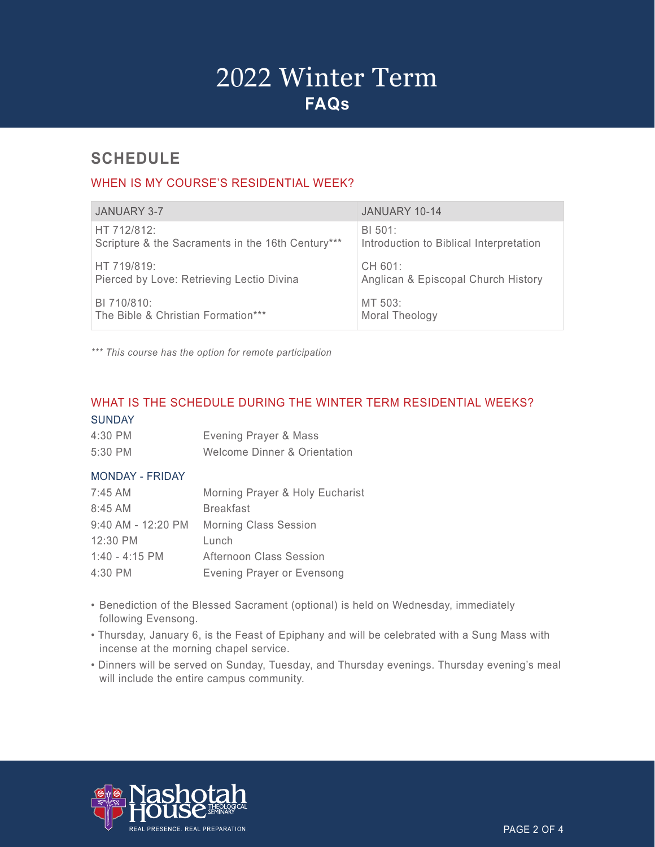## **SCHEDULE**

### WHEN IS MY COURSE'S RESIDENTIAL WEEK?

| <b>JANUARY 3-7</b>                                | JANUARY 10-14                           |
|---------------------------------------------------|-----------------------------------------|
| HT 712/812:                                       | BI 501:                                 |
| Scripture & the Sacraments in the 16th Century*** | Introduction to Biblical Interpretation |
| HT 719/819:                                       | CH 601:                                 |
| Pierced by Love: Retrieving Lectio Divina         | Anglican & Episcopal Church History     |
| BI 710/810:                                       | MT 503:                                 |
| The Bible & Christian Formation***                | Moral Theology                          |

*\*\*\* This course has the option for remote participation*

### WHAT IS THE SCHEDULE DURING THE WINTER TERM RESIDENTIAL WEEKS? **SUNDAY**

| 4:30 PM | Evening Prayer & Mass        |
|---------|------------------------------|
| 5:30 PM | Welcome Dinner & Orientation |

#### MONDAY - FRIDAY

| 7:45 AM            | Morning Prayer & Holy Eucharist   |
|--------------------|-----------------------------------|
| 8:45 AM            | <b>Breakfast</b>                  |
| 9:40 AM - 12:20 PM | <b>Morning Class Session</b>      |
| 12:30 PM           | Lunch                             |
| $1:40 - 4:15$ PM   | Afternoon Class Session           |
| 4:30 PM            | <b>Evening Prayer or Evensong</b> |

- Benediction of the Blessed Sacrament (optional) is held on Wednesday, immediately following Evensong.
- Thursday, January 6, is the Feast of Epiphany and will be celebrated with a Sung Mass with incense at the morning chapel service.
- Dinners will be served on Sunday, Tuesday, and Thursday evenings. Thursday evening's meal will include the entire campus community.

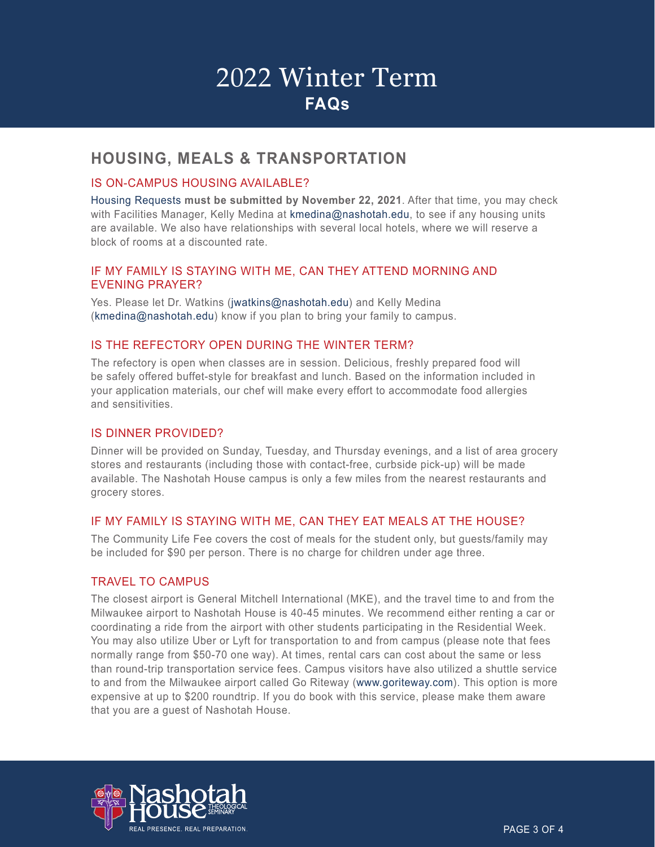### **HOUSING, MEALS & TRANSPORTATION**

#### IS ON-CAMPUS HOUSING AVAILABLE?

[Housing Requests](https://nashotah.edu/academics/student-resources/request-housing/) **must be submitted by November 22, 2021**. After that time, you may check with Facilities Manager, Kelly Medina at [kmedina@nashotah.edu,](mailto: kmedina@nashotah.edu) to see if any housing units are available. We also have relationships with several local hotels, where we will reserve a block of rooms at a discounted rate.

#### IF MY FAMILY IS STAYING WITH ME, CAN THEY ATTEND MORNING AND EVENING PRAYER?

Yes. Please let Dr. Watkins [\(jwatkins@nashotah.edu\)](mailto: jwatkins@nashotah.edu) and Kelly Medina [\(kmedina@nashotah.edu\)](mailto: kmedina@nashotah.edu) know if you plan to bring your family to campus.

#### IS THE REFECTORY OPEN DURING THE WINTER TERM?

The refectory is open when classes are in session. Delicious, freshly prepared food will be safely offered buffet-style for breakfast and lunch. Based on the information included in your application materials, our chef will make every effort to accommodate food allergies and sensitivities.

#### IS DINNER PROVIDED?

Dinner will be provided on Sunday, Tuesday, and Thursday evenings, and a list of area grocery stores and restaurants (including those with contact-free, curbside pick-up) will be made available. The Nashotah House campus is only a few miles from the nearest restaurants and grocery stores.

#### IF MY FAMILY IS STAYING WITH ME, CAN THEY EAT MEALS AT THE HOUSE?

The Community Life Fee covers the cost of meals for the student only, but guests/family may be included for \$90 per person. There is no charge for children under age three.

#### TRAVEL TO CAMPUS

The closest airport is General Mitchell International (MKE), and the travel time to and from the Milwaukee airport to Nashotah House is 40-45 minutes. We recommend either renting a car or coordinating a ride from the airport with other students participating in the Residential Week. You may also utilize Uber or Lyft for transportation to and from campus (please note that fees normally range from \$50-70 one way). At times, rental cars can cost about the same or less than round-trip transportation service fees. Campus visitors have also utilized a shuttle service to and from the Milwaukee airport called Go Riteway ([www.goriteway.com\)](http://www.goriteway.com/). This option is more expensive at up to \$200 roundtrip. If you do book with this service, please make them aware that you are a guest of Nashotah House.